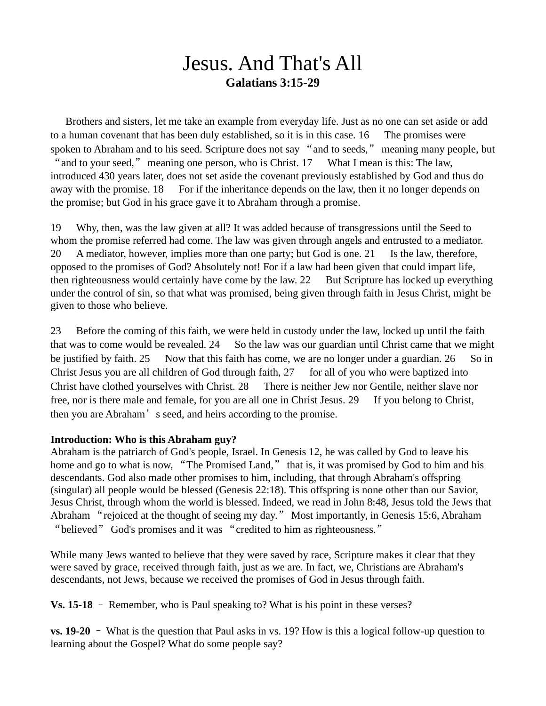## Jesus. And That's All **Galatians 3:15-29**

Brothers and sisters, let me take an example from everyday life. Just as no one can set aside or add to a human covenant that has been duly established, so it is in this case. 16 The promises were spoken to Abraham and to his seed. Scripture does not say "and to seeds," meaning many people, but " and to your seed," meaning one person, who is Christ. 17 What I mean is this: The law, introduced 430 years later, does not set aside the covenant previously established by God and thus do away with the promise. 18 For if the inheritance depends on the law, then it no longer depends on the promise; but God in his grace gave it to Abraham through a promise.

19 Why, then, was the law given at all? It was added because of transgressions until the Seed to whom the promise referred had come. The law was given through angels and entrusted to a mediator. 20 A mediator, however, implies more than one party; but God is one. 21 Is the law, therefore, opposed to the promises of God? Absolutely not! For if a law had been given that could impart life, then righteousness would certainly have come by the law. 22 But Scripture has locked up everything under the control of sin, so that what was promised, being given through faith in Jesus Christ, might be given to those who believe.

23 Before the coming of this faith, we were held in custody under the law, locked up until the faith that was to come would be revealed. 24 So the law was our guardian until Christ came that we might be justified by faith. 25 Now that this faith has come, we are no longer under a guardian. 26 So in Christ Jesus you are all children of God through faith,  $27$  for all of you who were baptized into Christ have clothed yourselves with Christ. 28 There is neither Jew nor Gentile, neither slave nor free, nor is there male and female, for you are all one in Christ Jesus. 29 If you belong to Christ, then you are Abraham's seed, and heirs according to the promise.

## **Introduction: Who is this Abraham guy?**

Abraham is the patriarch of God's people, Israel. In Genesis 12, he was called by God to leave his home and go to what is now, "The Promised Land," that is, it was promised by God to him and his descendants. God also made other promises to him, including, that through Abraham's offspring (singular) all people would be blessed (Genesis 22:18). This offspring is none other than our Savior, Jesus Christ, through whom the world is blessed. Indeed, we read in John 8:48, Jesus told the Jews that Abraham "rejoiced at the thought of seeing my day." Most importantly, in Genesis 15:6, Abraham "believed" God's promises and it was "credited to him as righteousness."

While many Jews wanted to believe that they were saved by race, Scripture makes it clear that they were saved by grace, received through faith, just as we are. In fact, we, Christians are Abraham's descendants, not Jews, because we received the promises of God in Jesus through faith.

**Vs. 15-18** – Remember, who is Paul speaking to? What is his point in these verses?

**vs. 19-20** – What is the question that Paul asks in vs. 19? How is this a logical follow-up question to learning about the Gospel? What do some people say?